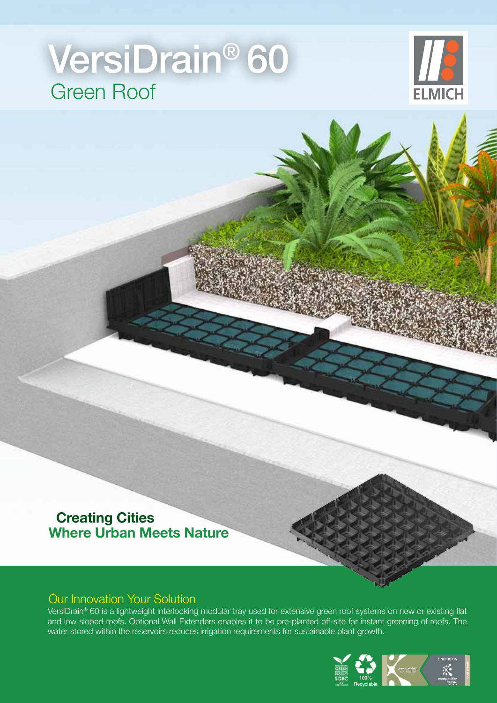# Green Roof VersiDrain® 60



#### **Creating Cities Where Urban Meets Nature**

#### Our Innovation Your Solution

VersiDrain® 60 is a lightweight interlocking modular tray used for extensive green roof systems on new or existing flat and low sloped roofs. Optional Wall Extenders enables it to be pre-planted off-site for instant greening of roofs. The water stored within the reservoirs reduces irrigation requirements for sustainable plant growth.